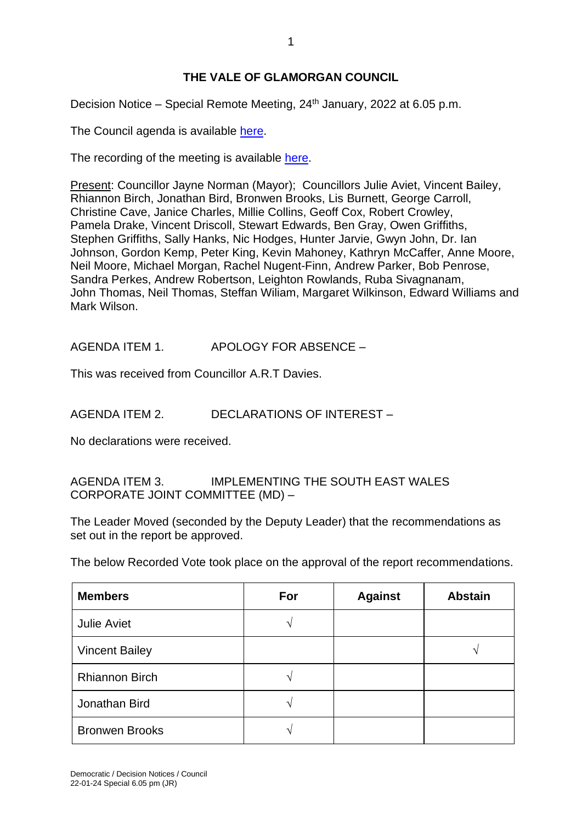## **THE VALE OF GLAMORGAN COUNCIL**

Decision Notice – Special Remote Meeting, 24th January, 2022 at 6.05 p.m.

The Council agenda is available [here.](https://www.valeofglamorgan.gov.uk/en/our_council/Council-Structure/minutes,_agendas_and_reports/agendas/council/2022/22-01-24-6.05.aspx)

The recording of the meeting is available [here.](https://www.youtube.com/watch?v=Dq4YnmR_hHQ&list=PLzt4i14pgqIFIu5GcsMs1g6b5IUR90m5d&index=1&t=2601s)

Present: Councillor Jayne Norman (Mayor); Councillors Julie Aviet, Vincent Bailey, Rhiannon Birch, Jonathan Bird, Bronwen Brooks, Lis Burnett, George Carroll, Christine Cave, Janice Charles, Millie Collins, Geoff Cox, Robert Crowley, Pamela Drake, Vincent Driscoll, Stewart Edwards, Ben Gray, Owen Griffiths, Stephen Griffiths, Sally Hanks, Nic Hodges, Hunter Jarvie, Gwyn John, Dr. Ian Johnson, Gordon Kemp, Peter King, Kevin Mahoney, Kathryn McCaffer, Anne Moore, Neil Moore, Michael Morgan, Rachel Nugent-Finn, Andrew Parker, Bob Penrose, Sandra Perkes, Andrew Robertson, Leighton Rowlands, Ruba Sivagnanam, John Thomas, Neil Thomas, Steffan Wiliam, Margaret Wilkinson, Edward Williams and Mark Wilson.

AGENDA ITEM 1. APOLOGY FOR ABSENCE –

This was received from Councillor A.R.T Davies.

AGENDA ITEM 2. DECLARATIONS OF INTEREST –

No declarations were received.

AGENDA ITEM 3. IMPLEMENTING THE SOUTH EAST WALES CORPORATE JOINT COMMITTEE (MD) –

The Leader Moved (seconded by the Deputy Leader) that the recommendations as set out in the report be approved.

The below Recorded Vote took place on the approval of the report recommendations.

| <b>Members</b>        | For           | <b>Against</b> | <b>Abstain</b> |
|-----------------------|---------------|----------------|----------------|
| <b>Julie Aviet</b>    | ٦             |                |                |
| <b>Vincent Bailey</b> |               |                |                |
| <b>Rhiannon Birch</b> | ٦             |                |                |
| Jonathan Bird         | $\mathcal{L}$ |                |                |
| <b>Bronwen Brooks</b> | ٦             |                |                |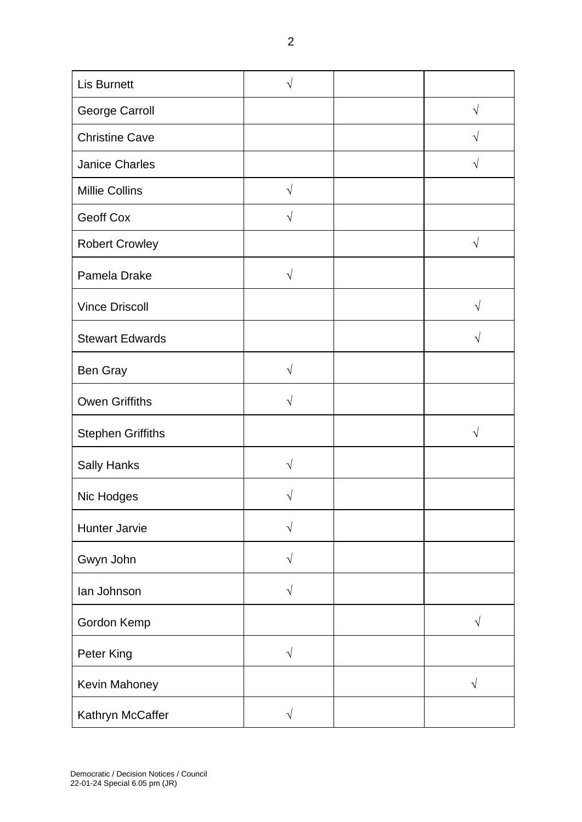| <b>Lis Burnett</b>       | V         |           |
|--------------------------|-----------|-----------|
| George Carroll           |           | $\sqrt{}$ |
| <b>Christine Cave</b>    |           |           |
| <b>Janice Charles</b>    |           | $\sqrt{}$ |
| <b>Millie Collins</b>    | $\sqrt{}$ |           |
| Geoff Cox                | $\sqrt{}$ |           |
| <b>Robert Crowley</b>    |           |           |
| Pamela Drake             | $\sqrt{}$ |           |
| <b>Vince Driscoll</b>    |           | V         |
| <b>Stewart Edwards</b>   |           | V         |
| Ben Gray                 | $\sqrt{}$ |           |
| <b>Owen Griffiths</b>    | $\sqrt{}$ |           |
| <b>Stephen Griffiths</b> |           | V         |
| <b>Sally Hanks</b>       | $\sqrt{}$ |           |
| Nic Hodges               | V         |           |
| Hunter Jarvie            | $\sqrt{}$ |           |
| Gwyn John                | $\sqrt{}$ |           |
| lan Johnson              | $\sqrt{}$ |           |
| Gordon Kemp              |           | $\sqrt{}$ |
| Peter King               | $\sqrt{}$ |           |
| Kevin Mahoney            |           | V         |
| Kathryn McCaffer         | $\sqrt{}$ |           |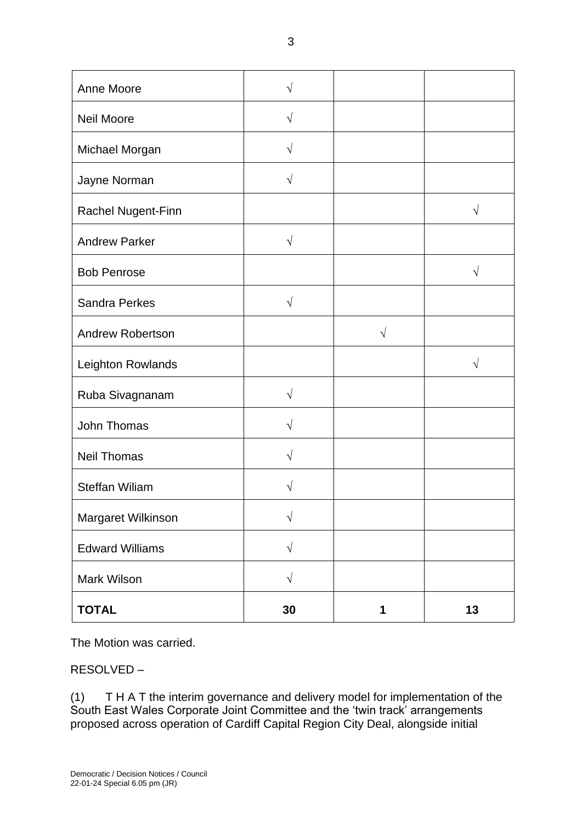| Anne Moore              | V          |           |           |
|-------------------------|------------|-----------|-----------|
| <b>Neil Moore</b>       | $\sqrt{}$  |           |           |
| Michael Morgan          | V          |           |           |
| Jayne Norman            | $\sqrt{}$  |           |           |
| Rachel Nugent-Finn      |            |           | $\sqrt{}$ |
| <b>Andrew Parker</b>    | $\sqrt{ }$ |           |           |
| <b>Bob Penrose</b>      |            |           | $\sqrt{}$ |
| <b>Sandra Perkes</b>    | $\sqrt{ }$ |           |           |
| <b>Andrew Robertson</b> |            | $\sqrt{}$ |           |
| Leighton Rowlands       |            |           | V         |
| Ruba Sivagnanam         | $\sqrt{ }$ |           |           |
| John Thomas             | V          |           |           |
| <b>Neil Thomas</b>      | $\sqrt{}$  |           |           |
| <b>Steffan Wiliam</b>   |            |           |           |
| Margaret Wilkinson      | $\sqrt{ }$ |           |           |
| <b>Edward Williams</b>  | $\sqrt{}$  |           |           |
| Mark Wilson             | $\sqrt{}$  |           |           |
| <b>TOTAL</b>            | 30         | 1         | 13        |

The Motion was carried.

RESOLVED –

(1) T H A T the interim governance and delivery model for implementation of the South East Wales Corporate Joint Committee and the 'twin track' arrangements proposed across operation of Cardiff Capital Region City Deal, alongside initial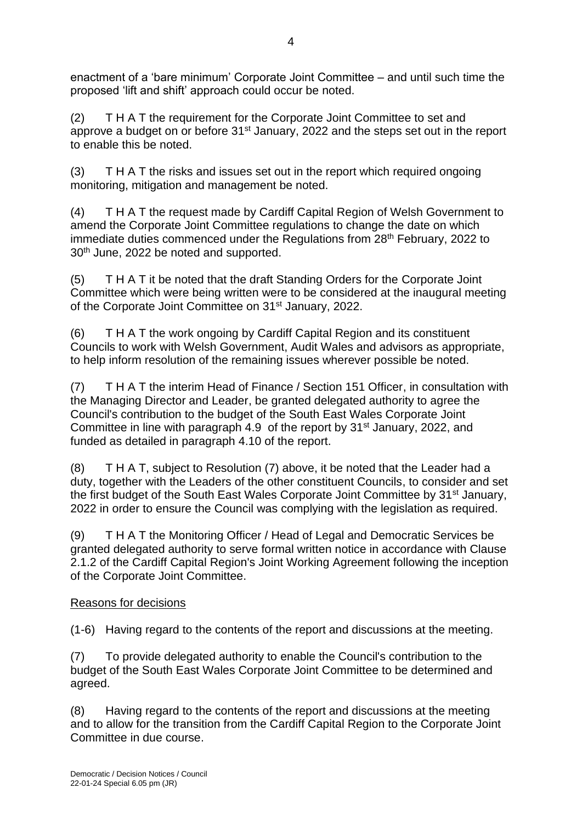enactment of a 'bare minimum' Corporate Joint Committee – and until such time the proposed 'lift and shift' approach could occur be noted.

(2) T H A T the requirement for the Corporate Joint Committee to set and approve a budget on or before 31<sup>st</sup> January, 2022 and the steps set out in the report to enable this be noted.

(3) T H A T the risks and issues set out in the report which required ongoing monitoring, mitigation and management be noted.

(4) T H A T the request made by Cardiff Capital Region of Welsh Government to amend the Corporate Joint Committee regulations to change the date on which immediate duties commenced under the Regulations from 28<sup>th</sup> February, 2022 to 30th June, 2022 be noted and supported.

(5) T H A T it be noted that the draft Standing Orders for the Corporate Joint Committee which were being written were to be considered at the inaugural meeting of the Corporate Joint Committee on 31<sup>st</sup> January, 2022.

(6) T H A T the work ongoing by Cardiff Capital Region and its constituent Councils to work with Welsh Government, Audit Wales and advisors as appropriate, to help inform resolution of the remaining issues wherever possible be noted.

(7) T H A T the interim Head of Finance / Section 151 Officer, in consultation with the Managing Director and Leader, be granted delegated authority to agree the Council's contribution to the budget of the South East Wales Corporate Joint Committee in line with paragraph 4.9 of the report by 31<sup>st</sup> January, 2022, and funded as detailed in paragraph 4.10 of the report.

(8) T H A T, subject to Resolution (7) above, it be noted that the Leader had a duty, together with the Leaders of the other constituent Councils, to consider and set the first budget of the South East Wales Corporate Joint Committee by 31<sup>st</sup> January, 2022 in order to ensure the Council was complying with the legislation as required.

(9) T H A T the Monitoring Officer / Head of Legal and Democratic Services be granted delegated authority to serve formal written notice in accordance with Clause 2.1.2 of the Cardiff Capital Region's Joint Working Agreement following the inception of the Corporate Joint Committee.

## Reasons for decisions

(1-6) Having regard to the contents of the report and discussions at the meeting.

(7) To provide delegated authority to enable the Council's contribution to the budget of the South East Wales Corporate Joint Committee to be determined and agreed.

(8) Having regard to the contents of the report and discussions at the meeting and to allow for the transition from the Cardiff Capital Region to the Corporate Joint Committee in due course.